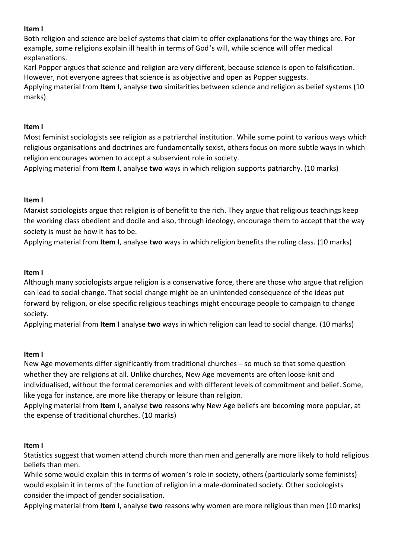### **Item I**

Both religion and science are belief systems that claim to offer explanations for the way things are. For example, some religions explain ill health in terms of God's will, while science will offer medical explanations.

Karl Popper argues that science and religion are very different, because science is open to falsification. However, not everyone agrees that science is as objective and open as Popper suggests.

Applying material from **Item I**, analyse **two** similarities between science and religion as belief systems (10 marks)

# **Item I**

Most feminist sociologists see religion as a patriarchal institution. While some point to various ways which religious organisations and doctrines are fundamentally sexist, others focus on more subtle ways in which religion encourages women to accept a subservient role in society.

Applying material from **Item I**, analyse **two** ways in which religion supports patriarchy. (10 marks)

# **Item I**

Marxist sociologists argue that religion is of benefit to the rich. They argue that religious teachings keep the working class obedient and docile and also, through ideology, encourage them to accept that the way society is must be how it has to be.

Applying material from **Item I**, analyse **two** ways in which religion benefits the ruling class. (10 marks)

#### **Item I**

Although many sociologists argue religion is a conservative force, there are those who argue that religion can lead to social change. That social change might be an unintended consequence of the ideas put forward by religion, or else specific religious teachings might encourage people to campaign to change society.

Applying material from **Item I** analyse **two** ways in which religion can lead to social change. (10 marks)

#### **Item I**

New Age movements differ significantly from traditional churches – so much so that some question whether they are religions at all. Unlike churches, New Age movements are often loose-knit and individualised, without the formal ceremonies and with different levels of commitment and belief. Some, like yoga for instance, are more like therapy or leisure than religion.

Applying material from **Item I**, analyse **two** reasons why New Age beliefs are becoming more popular, at the expense of traditional churches. (10 marks)

#### **Item I**

Statistics suggest that women attend church more than men and generally are more likely to hold religious beliefs than men.

While some would explain this in terms of women's role in society, others (particularly some feminists) would explain it in terms of the function of religion in a male-dominated society. Other sociologists consider the impact of gender socialisation.

Applying material from **Item I**, analyse **two** reasons why women are more religious than men (10 marks)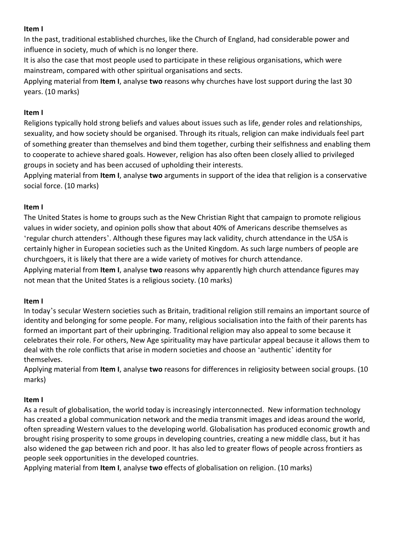### **Item I**

In the past, traditional established churches, like the Church of England, had considerable power and influence in society, much of which is no longer there.

It is also the case that most people used to participate in these religious organisations, which were mainstream, compared with other spiritual organisations and sects.

Applying material from **Item I**, analyse **two** reasons why churches have lost support during the last 30 years. (10 marks)

### **Item I**

Religions typically hold strong beliefs and values about issues such as life, gender roles and relationships, sexuality, and how society should be organised. Through its rituals, religion can make individuals feel part of something greater than themselves and bind them together, curbing their selfishness and enabling them to cooperate to achieve shared goals. However, religion has also often been closely allied to privileged groups in society and has been accused of upholding their interests.

Applying material from **Item I**, analyse **two** arguments in support of the idea that religion is a conservative social force. (10 marks)

# **Item I**

The United States is home to groups such as the New Christian Right that campaign to promote religious values in wider society, and opinion polls show that about 40% of Americans describe themselves as 'regular church attenders'. Although these figures may lack validity, church attendance in the USA is certainly higher in European societies such as the United Kingdom. As such large numbers of people are churchgoers, it is likely that there are a wide variety of motives for church attendance.

Applying material from **Item I**, analyse **two** reasons why apparently high church attendance figures may not mean that the United States is a religious society. (10 marks)

#### **Item I**

In today's secular Western societies such as Britain, traditional religion still remains an important source of identity and belonging for some people. For many, religious socialisation into the faith of their parents has formed an important part of their upbringing. Traditional religion may also appeal to some because it celebrates their role. For others, New Age spirituality may have particular appeal because it allows them to deal with the role conflicts that arise in modern societies and choose an 'authentic' identity for themselves.

Applying material from **Item I**, analyse **two** reasons for differences in religiosity between social groups. (10 marks)

#### **Item I**

As a result of globalisation, the world today is increasingly interconnected. New information technology has created a global communication network and the media transmit images and ideas around the world, often spreading Western values to the developing world. Globalisation has produced economic growth and brought rising prosperity to some groups in developing countries, creating a new middle class, but it has also widened the gap between rich and poor. It has also led to greater flows of people across frontiers as people seek opportunities in the developed countries.

Applying material from **Item I**, analyse **two** effects of globalisation on religion. (10 marks)